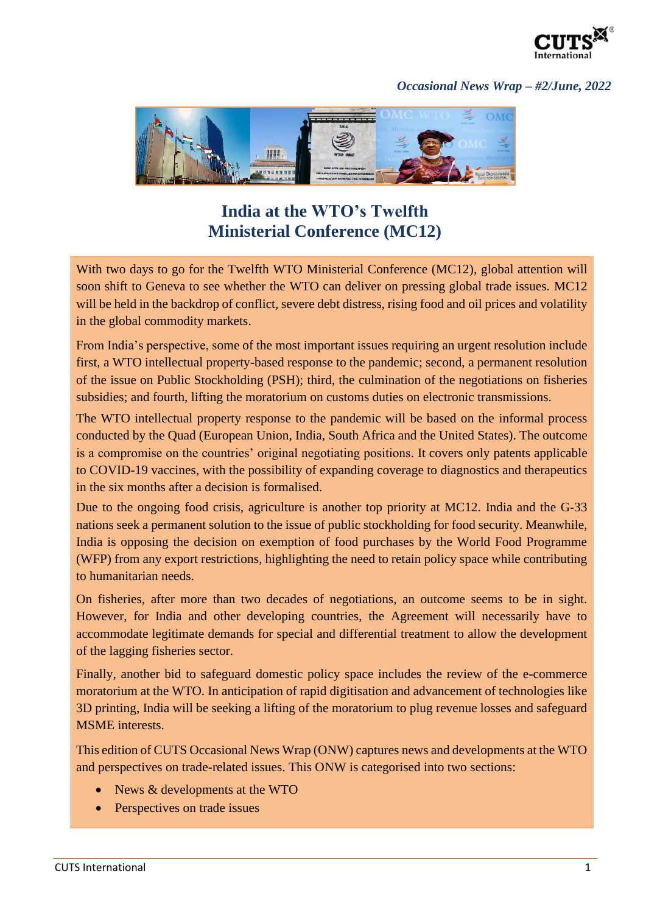

## *Occasional News Wrap – #2/June, 2022*



## **India at the WTO's Twelfth Ministerial Conference (MC12)**

With two days to go for the Twelfth WTO Ministerial Conference (MC12), global attention will soon shift to Geneva to see whether the WTO can deliver on pressing global trade issues. MC12 will be held in the backdrop of conflict, severe debt distress, rising food and oil prices and volatility in the global commodity markets.

From India's perspective, some of the most important issues requiring an urgent resolution include first, a WTO intellectual property-based response to the pandemic; second, a permanent resolution of the issue on Public Stockholding (PSH); third, the culmination of the negotiations on fisheries subsidies; and fourth, lifting the moratorium on customs duties on electronic transmissions.

The WTO intellectual property response to the pandemic will be based on the informal process conducted by the Quad (European Union, India, South Africa and the United States). The outcome is a compromise on the countries' original negotiating positions. It covers only patents applicable to COVID-19 vaccines, with the possibility of expanding coverage to diagnostics and therapeutics in the six months after a decision is formalised.

Due to the ongoing food crisis, agriculture is another top priority at MC12. India and the G-33 nations seek a permanent solution to the issue of public stockholding for food security. Meanwhile, India is opposing the decision on exemption of food purchases by the World Food Programme (WFP) from any export restrictions, highlighting the need to retain policy space while contributing to humanitarian needs.

On fisheries, after more than two decades of negotiations, an outcome seems to be in sight. However, for India and other developing countries, the Agreement will necessarily have to accommodate legitimate demands for special and differential treatment to allow the development of the lagging fisheries sector.

Finally, another bid to safeguard domestic policy space includes the review of the e-commerce moratorium at the WTO. In anticipation of rapid digitisation and advancement of technologies like 3D printing, India will be seeking a lifting of the moratorium to plug revenue losses and safeguard MSME interests.

This edition of CUTS Occasional News Wrap (ONW) captures news and developments at the WTO and perspectives on trade-related issues. This ONW is categorised into two sections:

- News & developments at the WTO
- Perspectives on trade issues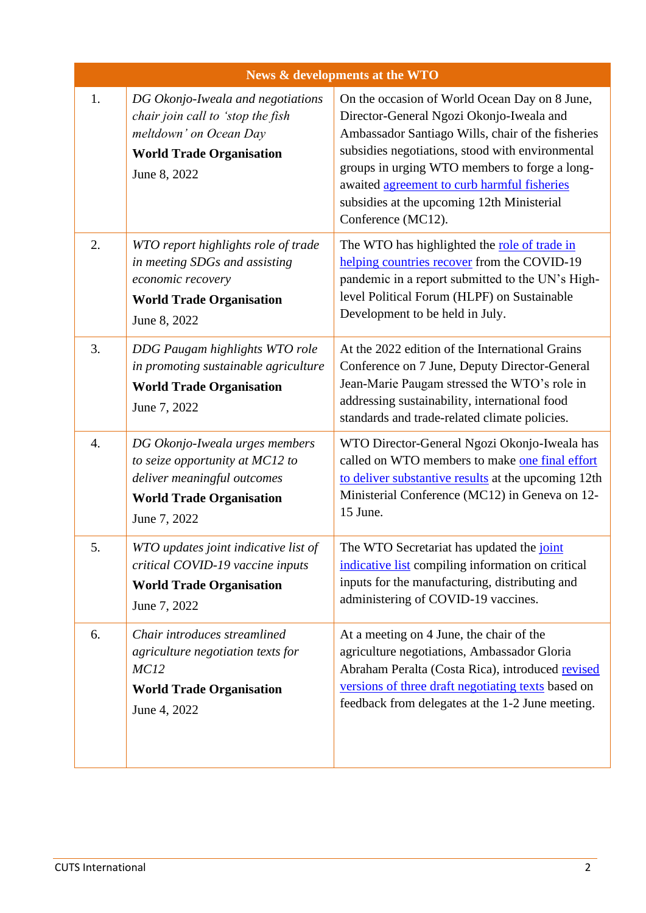| News & developments at the WTO |                                                                                                                                                     |                                                                                                                                                                                                                                                                                                                                                                        |  |
|--------------------------------|-----------------------------------------------------------------------------------------------------------------------------------------------------|------------------------------------------------------------------------------------------------------------------------------------------------------------------------------------------------------------------------------------------------------------------------------------------------------------------------------------------------------------------------|--|
| 1.                             | DG Okonjo-Iweala and negotiations<br>chair join call to 'stop the fish<br>meltdown' on Ocean Day<br><b>World Trade Organisation</b><br>June 8, 2022 | On the occasion of World Ocean Day on 8 June,<br>Director-General Ngozi Okonjo-Iweala and<br>Ambassador Santiago Wills, chair of the fisheries<br>subsidies negotiations, stood with environmental<br>groups in urging WTO members to forge a long-<br>awaited agreement to curb harmful fisheries<br>subsidies at the upcoming 12th Ministerial<br>Conference (MC12). |  |
| 2.                             | WTO report highlights role of trade<br>in meeting SDGs and assisting<br>economic recovery<br><b>World Trade Organisation</b><br>June 8, 2022        | The WTO has highlighted the role of trade in<br>helping countries recover from the COVID-19<br>pandemic in a report submitted to the UN's High-<br>level Political Forum (HLPF) on Sustainable<br>Development to be held in July.                                                                                                                                      |  |
| 3.                             | DDG Paugam highlights WTO role<br>in promoting sustainable agriculture<br><b>World Trade Organisation</b><br>June 7, 2022                           | At the 2022 edition of the International Grains<br>Conference on 7 June, Deputy Director-General<br>Jean-Marie Paugam stressed the WTO's role in<br>addressing sustainability, international food<br>standards and trade-related climate policies.                                                                                                                     |  |
| $\overline{4}$ .               | DG Okonjo-Iweala urges members<br>to seize opportunity at MC12 to<br>deliver meaningful outcomes<br><b>World Trade Organisation</b><br>June 7, 2022 | WTO Director-General Ngozi Okonjo-Iweala has<br>called on WTO members to make one final effort<br>to deliver substantive results at the upcoming 12th<br>Ministerial Conference (MC12) in Geneva on 12-<br>15 June.                                                                                                                                                    |  |
| 5.                             | WTO updates joint indicative list of<br>critical COVID-19 vaccine inputs<br><b>World Trade Organisation</b><br>June 7, 2022                         | The WTO Secretariat has updated the joint<br>indicative list compiling information on critical<br>inputs for the manufacturing, distributing and<br>administering of COVID-19 vaccines.                                                                                                                                                                                |  |
| 6.                             | Chair introduces streamlined<br>agriculture negotiation texts for<br>MC <sub>12</sub><br><b>World Trade Organisation</b><br>June 4, 2022            | At a meeting on 4 June, the chair of the<br>agriculture negotiations, Ambassador Gloria<br>Abraham Peralta (Costa Rica), introduced revised<br>versions of three draft negotiating texts based on<br>feedback from delegates at the 1-2 June meeting.                                                                                                                  |  |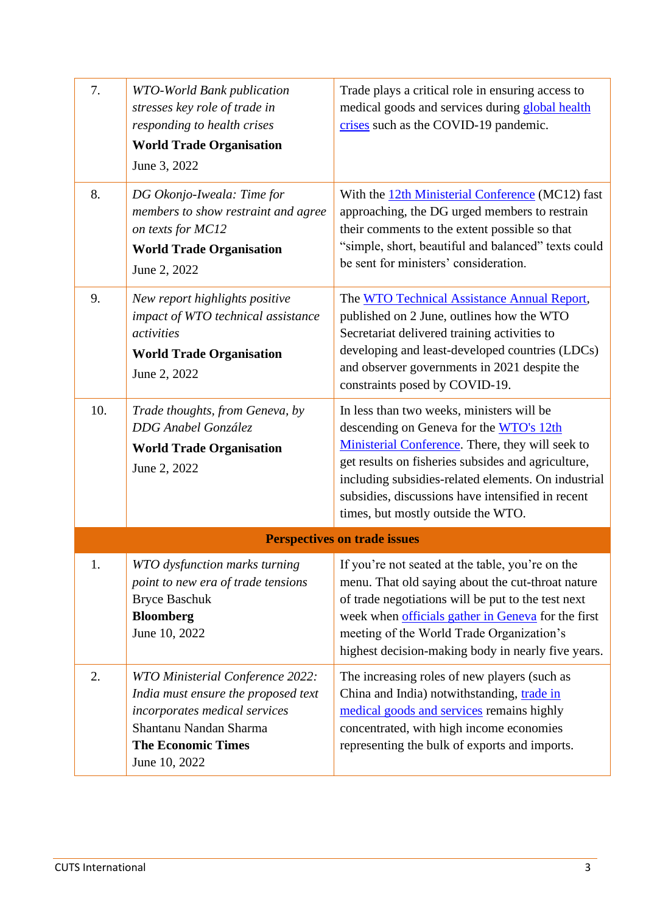| 7.                                  | <b>WTO-World Bank publication</b><br>stresses key role of trade in<br>responding to health crises<br><b>World Trade Organisation</b><br>June 3, 2022                             | Trade plays a critical role in ensuring access to<br>medical goods and services during global health<br>crises such as the COVID-19 pandemic.                                                                                                                                                                                                    |  |  |
|-------------------------------------|----------------------------------------------------------------------------------------------------------------------------------------------------------------------------------|--------------------------------------------------------------------------------------------------------------------------------------------------------------------------------------------------------------------------------------------------------------------------------------------------------------------------------------------------|--|--|
| 8.                                  | DG Okonjo-Iweala: Time for<br>members to show restraint and agree<br>on texts for MC12<br><b>World Trade Organisation</b><br>June 2, 2022                                        | With the 12th Ministerial Conference (MC12) fast<br>approaching, the DG urged members to restrain<br>their comments to the extent possible so that<br>"simple, short, beautiful and balanced" texts could<br>be sent for ministers' consideration.                                                                                               |  |  |
| 9.                                  | New report highlights positive<br>impact of WTO technical assistance<br>activities<br><b>World Trade Organisation</b><br>June 2, 2022                                            | The WTO Technical Assistance Annual Report,<br>published on 2 June, outlines how the WTO<br>Secretariat delivered training activities to<br>developing and least-developed countries (LDCs)<br>and observer governments in 2021 despite the<br>constraints posed by COVID-19.                                                                    |  |  |
| 10.                                 | Trade thoughts, from Geneva, by<br>DDG Anabel González<br><b>World Trade Organisation</b><br>June 2, 2022                                                                        | In less than two weeks, ministers will be<br>descending on Geneva for the WTO's 12th<br>Ministerial Conference. There, they will seek to<br>get results on fisheries subsides and agriculture,<br>including subsidies-related elements. On industrial<br>subsidies, discussions have intensified in recent<br>times, but mostly outside the WTO. |  |  |
| <b>Perspectives on trade issues</b> |                                                                                                                                                                                  |                                                                                                                                                                                                                                                                                                                                                  |  |  |
| 1.                                  | WTO dysfunction marks turning<br>point to new era of trade tensions<br><b>Bryce Baschuk</b><br><b>Bloomberg</b><br>June 10, 2022                                                 | If you're not seated at the table, you're on the<br>menu. That old saying about the cut-throat nature<br>of trade negotiations will be put to the test next<br>week when officials gather in Geneva for the first<br>meeting of the World Trade Organization's<br>highest decision-making body in nearly five years.                             |  |  |
| 2.                                  | WTO Ministerial Conference 2022:<br>India must ensure the proposed text<br>incorporates medical services<br>Shantanu Nandan Sharma<br><b>The Economic Times</b><br>June 10, 2022 | The increasing roles of new players (such as<br>China and India) notwithstanding, trade in<br>medical goods and services remains highly<br>concentrated, with high income economies<br>representing the bulk of exports and imports.                                                                                                             |  |  |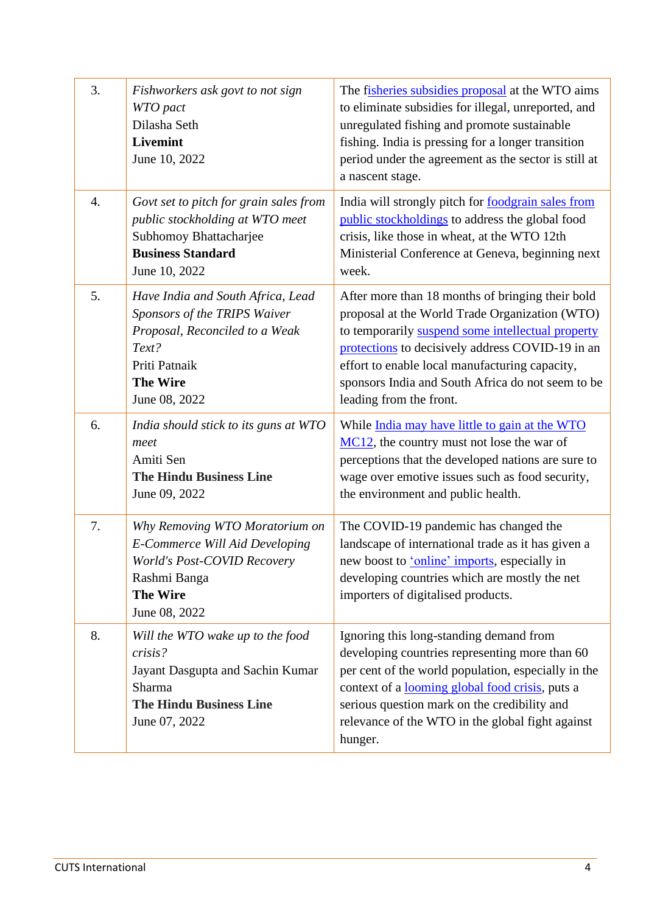| 3. | Fishworkers ask govt to not sign<br>WTO pact<br>Dilasha Seth<br><b>Livemint</b><br>June 10, 2022                                                                  | The fisheries subsidies proposal at the WTO aims<br>to eliminate subsidies for illegal, unreported, and<br>unregulated fishing and promote sustainable<br>fishing. India is pressing for a longer transition<br>period under the agreement as the sector is still at<br>a nascent stage.                                                      |
|----|-------------------------------------------------------------------------------------------------------------------------------------------------------------------|-----------------------------------------------------------------------------------------------------------------------------------------------------------------------------------------------------------------------------------------------------------------------------------------------------------------------------------------------|
| 4. | Govt set to pitch for grain sales from<br>public stockholding at WTO meet<br>Subhomoy Bhattacharjee<br><b>Business Standard</b><br>June 10, 2022                  | India will strongly pitch for <u>foodgrain</u> sales from<br>public stockholdings to address the global food<br>crisis, like those in wheat, at the WTO 12th<br>Ministerial Conference at Geneva, beginning next<br>week.                                                                                                                     |
| 5. | Have India and South Africa, Lead<br>Sponsors of the TRIPS Waiver<br>Proposal, Reconciled to a Weak<br>Text?<br>Priti Patnaik<br><b>The Wire</b><br>June 08, 2022 | After more than 18 months of bringing their bold<br>proposal at the World Trade Organization (WTO)<br>to temporarily suspend some intellectual property<br>protections to decisively address COVID-19 in an<br>effort to enable local manufacturing capacity,<br>sponsors India and South Africa do not seem to be<br>leading from the front. |
| 6. | India should stick to its guns at WTO<br>meet<br>Amiti Sen<br><b>The Hindu Business Line</b><br>June 09, 2022                                                     | While India may have little to gain at the WTO<br>MC12, the country must not lose the war of<br>perceptions that the developed nations are sure to<br>wage over emotive issues such as food security,<br>the environment and public health.                                                                                                   |
| 7. | Why Removing WTO Moratorium on<br>E-Commerce Will Aid Developing<br>World's Post-COVID Recovery<br>Rashmi Banga<br><b>The Wire</b><br>June 08, 2022               | The COVID-19 pandemic has changed the<br>landscape of international trade as it has given a<br>new boost to 'online' imports, especially in<br>developing countries which are mostly the net<br>importers of digitalised products.                                                                                                            |
| 8. | Will the WTO wake up to the food<br>crisis?<br>Jayant Dasgupta and Sachin Kumar<br>Sharma<br><b>The Hindu Business Line</b><br>June 07, 2022                      | Ignoring this long-standing demand from<br>developing countries representing more than 60<br>per cent of the world population, especially in the<br>context of a <b>looming global food crisis</b> , puts a<br>serious question mark on the credibility and<br>relevance of the WTO in the global fight against<br>hunger.                    |